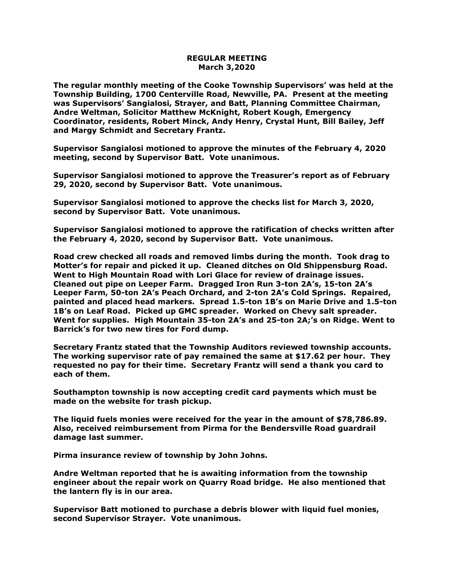## **REGULAR MEETING March 3,2020**

**The regular monthly meeting of the Cooke Township Supervisors' was held at the Township Building, 1700 Centerville Road, Newville, PA. Present at the meeting was Supervisors' Sangialosi, Strayer, and Batt, Planning Committee Chairman, Andre Weltman, Solicitor Matthew McKnight, Robert Kough, Emergency Coordinator, residents, Robert Minck, Andy Henry, Crystal Hunt, Bill Bailey, Jeff and Margy Schmidt and Secretary Frantz.** 

**Supervisor Sangialosi motioned to approve the minutes of the February 4, 2020 meeting, second by Supervisor Batt. Vote unanimous.** 

**Supervisor Sangialosi motioned to approve the Treasurer's report as of February 29, 2020, second by Supervisor Batt. Vote unanimous.** 

**Supervisor Sangialosi motioned to approve the checks list for March 3, 2020, second by Supervisor Batt. Vote unanimous.**

**Supervisor Sangialosi motioned to approve the ratification of checks written after the February 4, 2020, second by Supervisor Batt. Vote unanimous.**

**Road crew checked all roads and removed limbs during the month. Took drag to Motter's for repair and picked it up. Cleaned ditches on Old Shippensburg Road. Went to High Mountain Road with Lori Glace for review of drainage issues. Cleaned out pipe on Leeper Farm. Dragged Iron Run 3-ton 2A's, 15-ton 2A's Leeper Farm, 50-ton 2A's Peach Orchard, and 2-ton 2A's Cold Springs. Repaired, painted and placed head markers. Spread 1.5-ton 1B's on Marie Drive and 1.5-ton 1B's on Leaf Road. Picked up GMC spreader. Worked on Chevy salt spreader. Went for supplies. High Mountain 35-ton 2A's and 25-ton 2A;'s on Ridge. Went to Barrick's for two new tires for Ford dump.**

**Secretary Frantz stated that the Township Auditors reviewed township accounts. The working supervisor rate of pay remained the same at \$17.62 per hour. They requested no pay for their time. Secretary Frantz will send a thank you card to each of them.**

**Southampton township is now accepting credit card payments which must be made on the website for trash pickup.**

**The liquid fuels monies were received for the year in the amount of \$78,786.89. Also, received reimbursement from Pirma for the Bendersville Road guardrail damage last summer.**

**Pirma insurance review of township by John Johns.**

**Andre Weltman reported that he is awaiting information from the township engineer about the repair work on Quarry Road bridge. He also mentioned that the lantern fly is in our area.**

**Supervisor Batt motioned to purchase a debris blower with liquid fuel monies, second Supervisor Strayer. Vote unanimous.**